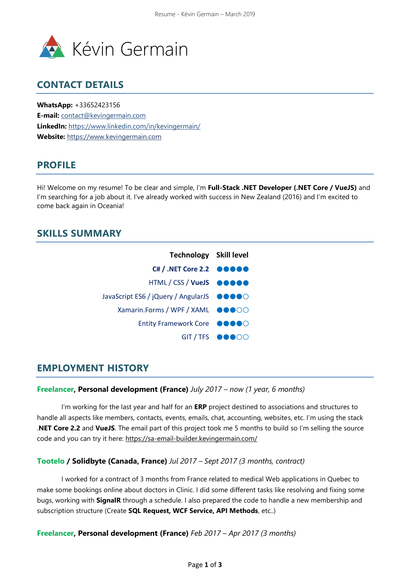

## **CONTACT DETAILS**

**WhatsApp:** +33652423156 **E-mail:** [contact@kevingermain.com](mailto:contact@kevingermain.com) **LinkedIn:** https://www.linkedin.com/in/kevingermain/ **Website:** [https://www.kevingermain.com](http://www.kevingermain.com/)

# **PROFILE**

Hi! Welcome on my resume! To be clear and simple, I'm **Full-Stack .NET Developer (.NET Core / VueJS)** and I'm searching for a job about it. I've already worked with success in New Zealand (2016) and I'm excited to come back again in Oceania!

## **SKILLS SUMMARY**

| <b>Technology</b> Skill level                                               |               |
|-----------------------------------------------------------------------------|---------------|
| $CH / .NET Core 2.2$ $00000$                                                |               |
| HTML / CSS / VueJS @@@@@                                                    |               |
| JavaScript ES6 / jQuery / AngularJS $\bullet \bullet \bullet \bullet \circ$ |               |
| Xamarin.Forms / WPF / XAML ●●●○○                                            |               |
| Entity Framework Core ●●●●○                                                 |               |
|                                                                             | GIT/TFS OOOOO |

## **EMPLOYMENT HISTORY**

#### **Freelancer, Personal development (France)** *July 2017 – now (1 year, 6 months)*

I'm working for the last year and half for an **ERP** project destined to associations and structures to handle all aspects like members, contacts, events, emails, chat, accounting, websites, etc. I'm using the stack .**NET Core 2.2** and **VueJS**. The email part of this project took me 5 months to build so I'm selling the source code and you can try it here: https://sa-email-builder.kevingermain.com/

#### **Tootelo / Solidbyte (Canada, France)** *Jul 2017 – Sept 2017 (3 months, contract)*

I worked for a contract of 3 months from France related to medical Web applications in Quebec to make some bookings online about doctors in Clinic. I did some different tasks like resolving and fixing some bugs, working with **SignalR** through a schedule. I also prepared the code to handle a new membership and subscription structure (Create **SQL Request, WCF Service, API Methods**, etc..)

**Freelancer, Personal development (France)** *Feb 2017 – Apr 2017 (3 months)*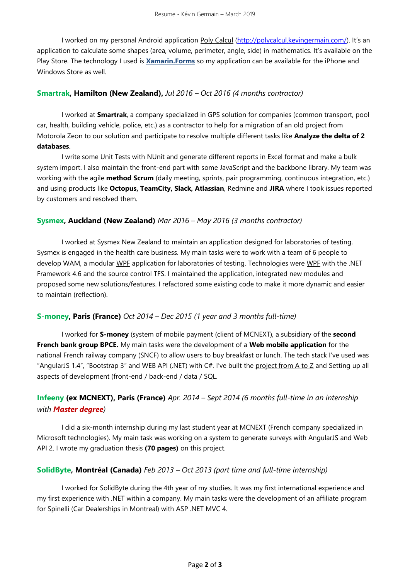I worked on my personal Android application Poly Calcul [\(http://polycalcul.kevingermain.com/](http://polycalcul.kevingermain.com/)). It's an application to calculate some shapes (area, volume, perimeter, angle, side) in mathematics. It's available on the Play Store. The technology I used is **Xamarin.Forms** so my application can be available for the iPhone and Windows Store as well.

#### **Smartrak, Hamilton (New Zealand),** *Jul 2016 – Oct 2016 (4 months contractor)*

I worked at **Smartrak**, a company specialized in GPS solution for companies (common transport, pool car, health, building vehicle, police, etc.) as a contractor to help for a migration of an old project from Motorola Zeon to our solution and participate to resolve multiple different tasks like **Analyze the delta of 2 databases**.

I write some Unit Tests with NUnit and generate different reports in Excel format and make a bulk system import. I also maintain the front-end part with some JavaScript and the backbone library. My team was working with the agile **method Scrum** (daily meeting, sprints, pair programming, continuous integration, etc.) and using products like **Octopus, TeamCity, Slack, Atlassian**, Redmine and **JIRA** where I took issues reported by customers and resolved them.

#### **Sysmex, Auckland (New Zealand)** *Mar 2016 – May 2016 (3 months contractor)*

I worked at Sysmex New Zealand to maintain an application designed for laboratories of testing. Sysmex is engaged in the health care business. My main tasks were to work with a team of 6 people to develop WAM, a modular WPF application for laboratories of testing. Technologies were WPF with the .NET Framework 4.6 and the source control TFS. I maintained the application, integrated new modules and proposed some new solutions/features. I refactored some existing code to make it more dynamic and easier to maintain (reflection).

#### **S-money, Paris (France)** *Oct 2014 – Dec 2015 (1 year and 3 months full-time)*

I worked for **S-money** (system of mobile payment (client of MCNEXT), a subsidiary of the **second French bank group BPCE.** My main tasks were the development of a **Web mobile application** for the national French railway company (SNCF) to allow users to buy breakfast or lunch. The tech stack I've used was "AngularJS 1.4", "Bootstrap 3" and WEB API (.NET) with C#. I've built the project from A to Z and Setting up all aspects of development (front-end / back-end / data / SQL.

### **Infeeny (ex MCNEXT), Paris (France)** *Apr. 2014 – Sept 2014 (6 months full-time in an internship with Master degree)*

I did a six-month internship during my last student year at MCNEXT (French company specialized in Microsoft technologies). My main task was working on a system to generate surveys with AngularJS and Web API 2. I wrote my graduation thesis **(70 pages)** on this project.

#### **SolidByte, Montréal (Canada)** *Feb 2013 – Oct 2013 (part time and full-time internship)*

I worked for SolidByte during the 4th year of my studies. It was my first international experience and my first experience with .NET within a company. My main tasks were the development of an affiliate program for Spinelli (Car Dealerships in Montreal) with ASP .NET MVC 4.